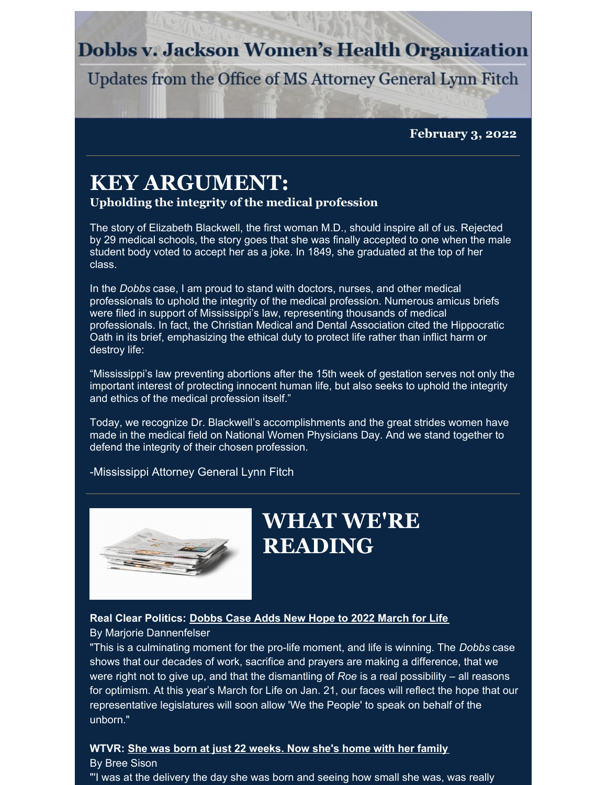# **Dobbs v. Jackson Women's Health Organization**

Updates from the Office of MS Attorney General Lynn Fitch

**February 3, 2022**

# **KEY ARGUMENT:**

### **Upholding the integrity of the medical profession**

The story of Elizabeth Blackwell, the first woman M.D., should inspire all of us. Rejected by 29 medical schools, the story goes that she was finally accepted to one when the male student body voted to accept her as a joke. In 1849, she graduated at the top of her class.

In the *Dobbs* case, I am proud to stand with doctors, nurses, and other medical professionals to uphold the integrity of the medical profession. Numerous amicus briefs were filed in support of Mississippi's law, representing thousands of medical professionals. In fact, the Christian Medical and Dental Association cited the Hippocratic Oath in its brief, emphasizing the ethical duty to protect life rather than inflict harm or destroy life:

"Mississippi's law preventing abortions after the 15th week of gestation serves not only the important interest of protecting innocent human life, but also seeks to uphold the integrity and ethics of the medical profession itself."

Today, we recognize Dr. Blackwell's accomplishments and the great strides women have made in the medical field on National Women Physicians Day. And we stand together to defend the integrity of their chosen profession.

-Mississippi Attorney General Lynn Fitch



# **WHAT WE'RE READING**

### **Real Clear Politics: [Dobbs](https://www.realclearpolitics.com/articles/2022/01/21/dobbs_case_adds_new_hope_to_2022_march_for_life.html) Case Adds New Hope to 2022 March for Life** By Marjorie Dannenfelser

"This is a culminating moment for the pro-life moment, and life is winning. The *Dobbs* case shows that our decades of work, sacrifice and prayers are making a difference, that we were right not to give up, and that the dismantling of *Roe* is a real possibility – all reasons for optimism. At this year's March for Life on Jan. 21, our faces will reflect the hope that our representative legislatures will soon allow 'We the People' to speak on behalf of the unborn."

#### **WTVR: She was born at just 22 [weeks.](https://www.wtvr.com/news/local-news/she-was-born-at-just-22-weeks-now-shes-home-with-her-family) Now she's home with her family** By Bree Sison

"'I was at the delivery the day she was born and seeing how small she was, was really